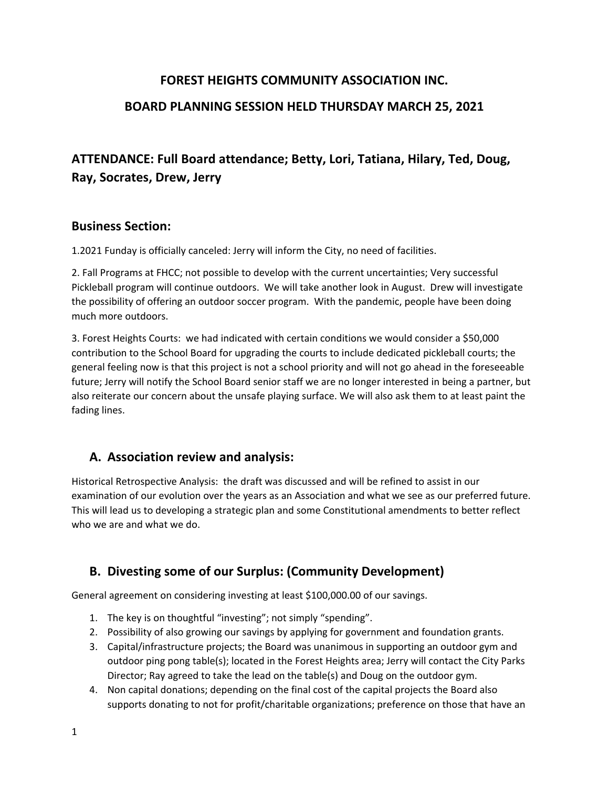# **FOREST HEIGHTS COMMUNITY ASSOCIATION INC.**

# **BOARD PLANNING SESSION HELD THURSDAY MARCH 25, 2021**

# **ATTENDANCE: Full Board attendance; Betty, Lori, Tatiana, Hilary, Ted, Doug, Ray, Socrates, Drew, Jerry**

#### **Business Section:**

1.2021 Funday is officially canceled: Jerry will inform the City, no need of facilities.

2. Fall Programs at FHCC; not possible to develop with the current uncertainties; Very successful Pickleball program will continue outdoors. We will take another look in August. Drew will investigate the possibility of offering an outdoor soccer program. With the pandemic, people have been doing much more outdoors.

3. Forest Heights Courts: we had indicated with certain conditions we would consider a \$50,000 contribution to the School Board for upgrading the courts to include dedicated pickleball courts; the general feeling now is that this project is not a school priority and will not go ahead in the foreseeable future; Jerry will notify the School Board senior staff we are no longer interested in being a partner, but also reiterate our concern about the unsafe playing surface. We will also ask them to at least paint the fading lines.

# **A. Association review and analysis:**

Historical Retrospective Analysis: the draft was discussed and will be refined to assist in our examination of our evolution over the years as an Association and what we see as our preferred future. This will lead us to developing a strategic plan and some Constitutional amendments to better reflect who we are and what we do.

# **B. Divesting some of our Surplus: (Community Development)**

General agreement on considering investing at least \$100,000.00 of our savings.

- 1. The key is on thoughtful "investing"; not simply "spending".
- 2. Possibility of also growing our savings by applying for government and foundation grants.
- 3. Capital/infrastructure projects; the Board was unanimous in supporting an outdoor gym and outdoor ping pong table(s); located in the Forest Heights area; Jerry will contact the City Parks Director; Ray agreed to take the lead on the table(s) and Doug on the outdoor gym.
- 4. Non capital donations; depending on the final cost of the capital projects the Board also supports donating to not for profit/charitable organizations; preference on those that have an